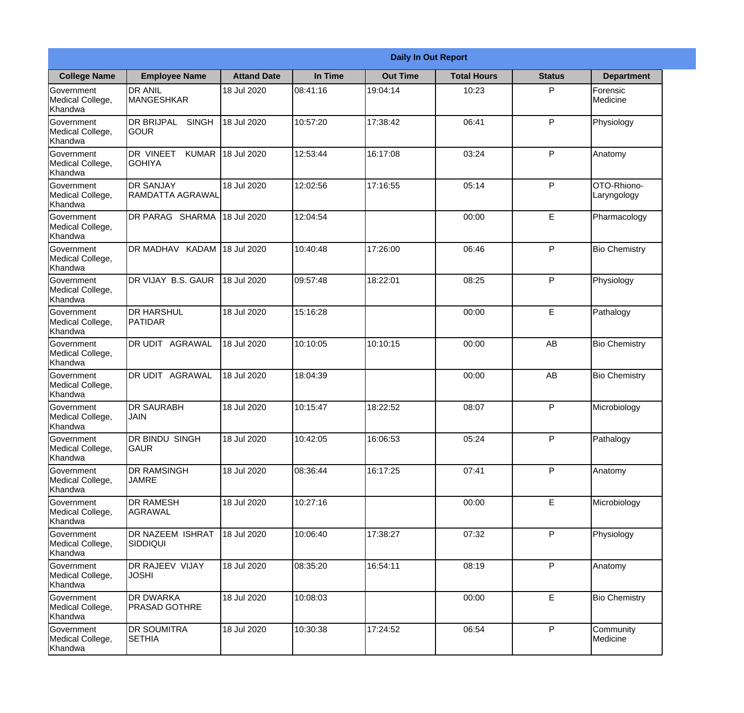|                                                  |                                              |                    |          | <b>Daily In Out Report</b> |                    |               |                            |
|--------------------------------------------------|----------------------------------------------|--------------------|----------|----------------------------|--------------------|---------------|----------------------------|
| <b>College Name</b>                              | <b>Employee Name</b>                         | <b>Attand Date</b> | In Time  | <b>Out Time</b>            | <b>Total Hours</b> | <b>Status</b> | <b>Department</b>          |
| Government<br>Medical College,<br>Khandwa        | <b>DR ANIL</b><br><b>MANGESHKAR</b>          | 18 Jul 2020        | 08:41:16 | 19:04:14                   | 10:23              | P             | Forensic<br>Medicine       |
| Government<br>Medical College,<br>Khandwa        | <b>DR BRIJPAL</b><br><b>SINGH</b><br> GOUR   | 18 Jul 2020        | 10:57:20 | 17:38:42                   | 06:41              | P             | Physiology                 |
| <b>Government</b><br>Medical College,<br>Khandwa | DR VINEET<br><b>KUMAR</b><br><b>I</b> GOHIYA | 18 Jul 2020        | 12:53:44 | 16:17:08                   | 03:24              | P             | Anatomy                    |
| Government<br>Medical College,<br>Khandwa        | <b>DR SANJAY</b><br><b>RAMDATTA AGRAWAL</b>  | 18 Jul 2020        | 12:02:56 | 17:16:55                   | 05:14              | P             | OTO-Rhiono-<br>Laryngology |
| Government<br>Medical College,<br>Khandwa        | <b>DR PARAG SHARMA</b>                       | 18 Jul 2020        | 12:04:54 |                            | 00:00              | E             | Pharmacology               |
| Government<br>Medical College,<br>Khandwa        | DR MADHAV KADAM                              | 18 Jul 2020        | 10:40:48 | 17:26:00                   | 06:46              | P             | <b>Bio Chemistry</b>       |
| Government<br>Medical College,<br>Khandwa        | <b>IDR VIJAY B.S. GAUR</b>                   | 18 Jul 2020        | 09:57:48 | 18:22:01                   | 08:25              | P             | Physiology                 |
| <b>Government</b><br>Medical College,<br>Khandwa | <b>DR HARSHUL</b><br>PATIDAR                 | 18 Jul 2020        | 15:16:28 |                            | 00:00              | E             | Pathalogy                  |
| Government<br>Medical College,<br>Khandwa        | <b>DR UDIT AGRAWAL</b>                       | 18 Jul 2020        | 10:10:05 | 10:10:15                   | 00:00              | AB            | <b>Bio Chemistry</b>       |
| Government<br>Medical College,<br>Khandwa        | DR UDIT<br><b>AGRAWAL</b>                    | 18 Jul 2020        | 18:04:39 |                            | 00:00              | AB            | <b>Bio Chemistry</b>       |
| Government<br>Medical College,<br>Khandwa        | <b>IDR SAURABH</b><br><b>JAIN</b>            | 18 Jul 2020        | 10:15:47 | 18:22:52                   | 08:07              | $\mathsf{P}$  | Microbiology               |
| Government<br>Medical College,<br>Khandwa        | <b>DR BINDU SINGH</b><br><b>GAUR</b>         | 18 Jul 2020        | 10:42:05 | 16:06:53                   | 05:24              | P             | Pathalogy                  |
| Government<br>Medical College,<br>Khandwa        | <b>DR RAMSINGH</b><br><b>JAMRE</b>           | 18 Jul 2020        | 08:36:44 | 16:17:25                   | 07:41              | P             | Anatomy                    |
| Government<br>Medical College,<br>Khandwa        | <b>DR RAMESH</b><br><b>AGRAWAL</b>           | 18 Jul 2020        | 10:27:16 |                            | 00:00              | E             | Microbiology               |
| Government<br>Medical College,<br>Khandwa        | <b>DR NAZEEM ISHRAT</b><br>SIDDIQUI          | 18 Jul 2020        | 10:06:40 | 17:38:27                   | 07:32              | $\mathsf{P}$  | Physiology                 |
| Government<br>Medical College,<br>Khandwa        | <b>DR RAJEEV VIJAY</b><br><b>JOSHI</b>       | 18 Jul 2020        | 08:35:20 | 16:54:11                   | 08:19              | P             | Anatomy                    |
| Government<br>Medical College,<br>Khandwa        | <b>DR DWARKA</b><br><b>PRASAD GOTHRE</b>     | 18 Jul 2020        | 10:08:03 |                            | 00:00              | E             | <b>Bio Chemistry</b>       |
| Government<br>Medical College,<br>Khandwa        | <b>DR SOUMITRA</b><br><b>SETHIA</b>          | 18 Jul 2020        | 10:30:38 | 17:24:52                   | 06:54              | P             | Community<br>Medicine      |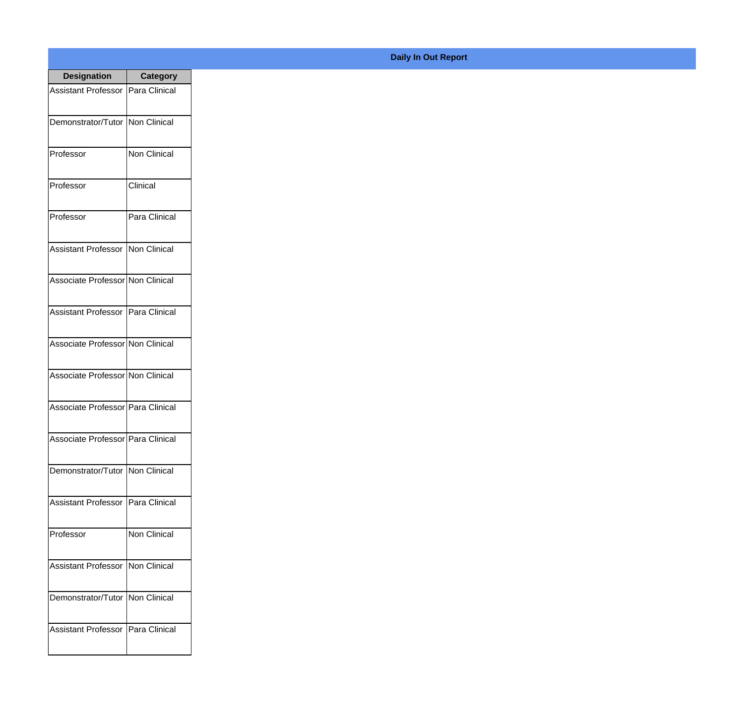| <b>Designation</b>                  | <b>Category</b> |
|-------------------------------------|-----------------|
| Assistant Professor   Para Clinical |                 |
| Demonstrator/Tutor   Non Clinical   |                 |
| Professor                           | Non Clinical    |
| Professor                           | Clinical        |
| Professor                           | Para Clinical   |
| Assistant Professor   Non Clinical  |                 |
| Associate Professor Non Clinical    |                 |
| Assistant Professor   Para Clinical |                 |
| Associate Professor Non Clinical    |                 |
| Associate Professor Non Clinical    |                 |
| Associate Professor   Para Clinical |                 |
| Associate Professor   Para Clinical |                 |
| Demonstrator/Tutor   Non Clinical   |                 |
| <b>Assistant Professor</b>          | Para Clinical   |
| Professor                           | Non Clinical    |
| <b>Assistant Professor</b>          | Non Clinical    |
| Demonstrator/Tutor   Non Clinical   |                 |
| Assistant Professor   Para Clinical |                 |

## **Daily In Out Report**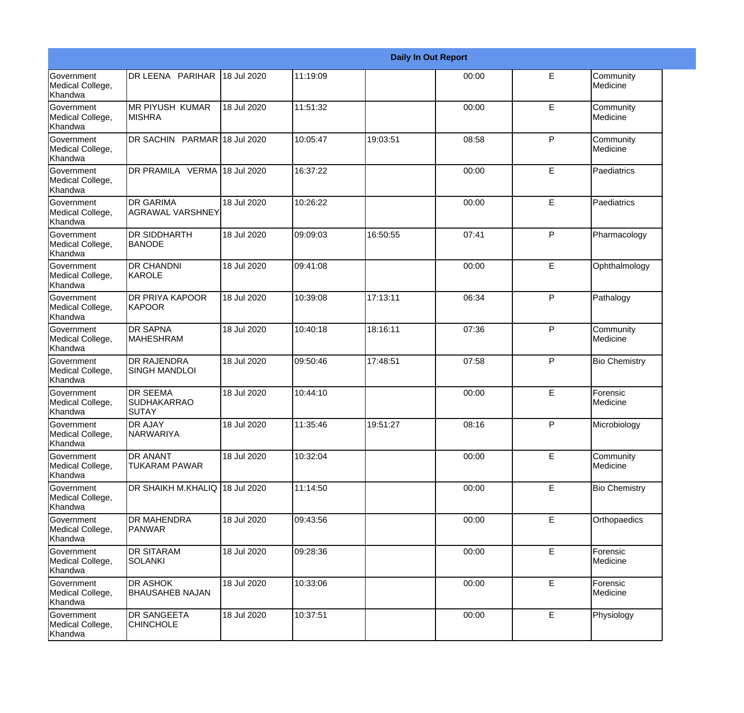|                                                  |                                                       |             |          |          | <b>Daily In Out Report</b> |              |                       |
|--------------------------------------------------|-------------------------------------------------------|-------------|----------|----------|----------------------------|--------------|-----------------------|
| <b>Government</b><br>Medical College,<br>Khandwa | DR LEENA PARIHAR                                      | 18 Jul 2020 | 11:19:09 |          | 00:00                      | E            | Community<br>Medicine |
| <b>Government</b><br>Medical College,<br>Khandwa | <b>MR PIYUSH KUMAR</b><br><b>MISHRA</b>               | 18 Jul 2020 | 11:51:32 |          | 00:00                      | E            | Community<br>Medicine |
| <b>Government</b><br>Medical College,<br>Khandwa | DR SACHIN PARMAR 18 Jul 2020                          |             | 10:05:47 | 19:03:51 | 08:58                      | P            | Community<br>Medicine |
| <b>Government</b><br>Medical College,<br>Khandwa | DR PRAMILA VERMA 18 Jul 2020                          |             | 16:37:22 |          | 00:00                      | E            | Paediatrics           |
| Government<br>Medical College,<br>Khandwa        | <b>DR GARIMA</b><br><b>AGRAWAL VARSHNEY</b>           | 18 Jul 2020 | 10:26:22 |          | 00:00                      | E            | Paediatrics           |
| <b>Government</b><br>Medical College,<br>Khandwa | <b>DR SIDDHARTH</b><br>BANODE                         | 18 Jul 2020 | 09:09:03 | 16:50:55 | 07:41                      | P            | Pharmacology          |
| Government<br>Medical College,<br>Khandwa        | <b>DR CHANDNI</b><br>IKAROLE                          | 18 Jul 2020 | 09:41:08 |          | 00:00                      | E            | Ophthalmology         |
| Government<br>Medical College,<br>Khandwa        | <b>DR PRIYA KAPOOR</b><br>KAPOOR                      | 18 Jul 2020 | 10:39:08 | 17:13:11 | 06:34                      | P            | Pathalogy             |
| Government<br>Medical College,<br>Khandwa        | <b>DR SAPNA</b><br><b>MAHESHRAM</b>                   | 18 Jul 2020 | 10:40:18 | 18:16:11 | 07:36                      | $\mathsf{P}$ | Community<br>Medicine |
| <b>Government</b><br>Medical College,<br>Khandwa | <b>DR RAJENDRA</b><br><b>SINGH MANDLOI</b>            | 18 Jul 2020 | 09:50:46 | 17:48:51 | 07:58                      | P            | <b>Bio Chemistry</b>  |
| <b>Government</b><br>Medical College,<br>Khandwa | <b>DR SEEMA</b><br><b>SUDHAKARRAO</b><br><b>SUTAY</b> | 18 Jul 2020 | 10:44:10 |          | 00:00                      | E            | Forensic<br>Medicine  |
| Government<br>Medical College,<br>Khandwa        | <b>DR AJAY</b><br><b>NARWARIYA</b>                    | 18 Jul 2020 | 11:35:46 | 19:51:27 | 08:16                      | P            | Microbiology          |
| <b>Government</b><br>Medical College,<br>Khandwa | <b>DR ANANT</b><br><b>TUKARAM PAWAR</b>               | 18 Jul 2020 | 10:32:04 |          | 00:00                      | E            | Community<br>Medicine |
| Government<br>Medical College,<br>Khandwa        | DR SHAIKH M.KHALIQ 18 Jul 2020                        |             | 11:14:50 |          | 00:00                      | E            | <b>Bio Chemistry</b>  |
| Government<br>Medical College,<br>Khandwa        | <b>DR MAHENDRA</b><br><b>PANWAR</b>                   | 18 Jul 2020 | 09:43:56 |          | 00:00                      | E            | Orthopaedics          |
| Government<br>Medical College,<br>Khandwa        | <b>DR SITARAM</b><br><b>SOLANKI</b>                   | 18 Jul 2020 | 09:28:36 |          | 00:00                      | E            | Forensic<br>Medicine  |
| Government<br>Medical College,<br>Khandwa        | <b>DR ASHOK</b><br><b>BHAUSAHEB NAJAN</b>             | 18 Jul 2020 | 10:33:06 |          | 00:00                      | E            | Forensic<br>Medicine  |
| Government<br>Medical College,<br>Khandwa        | <b>DR SANGEETA</b><br><b>CHINCHOLE</b>                | 18 Jul 2020 | 10:37:51 |          | 00:00                      | E            | Physiology            |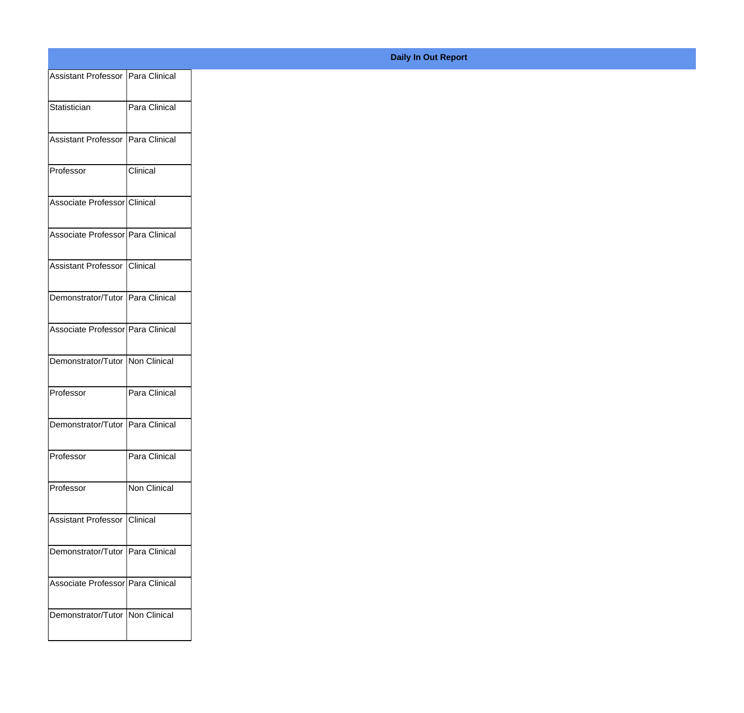| Assistant Professor   Para Clinical |               |
|-------------------------------------|---------------|
| Statistician                        | Para Clinical |
|                                     |               |
| Assistant Professor   Para Clinical |               |
| Professor                           | Clinical      |
| Associate Professor Clinical        |               |
| Associate Professor Para Clinical   |               |
| Assistant Professor Clinical        |               |
| Demonstrator/Tutor Para Clinical    |               |
|                                     |               |
| Associate Professor Para Clinical   |               |
| Demonstrator/Tutor Non Clinical     |               |
| Professor                           | Para Clinical |
| Demonstrator/Tutor Para Clinical    |               |
| Professor                           | Para Clinical |
| Professor                           | Non Clinical  |
|                                     |               |
| Assistant Professor Clinical        |               |
| Demonstrator/Tutor Para Clinical    |               |
| Associate Professor Para Clinical   |               |
| Demonstrator/Tutor   Non Clinical   |               |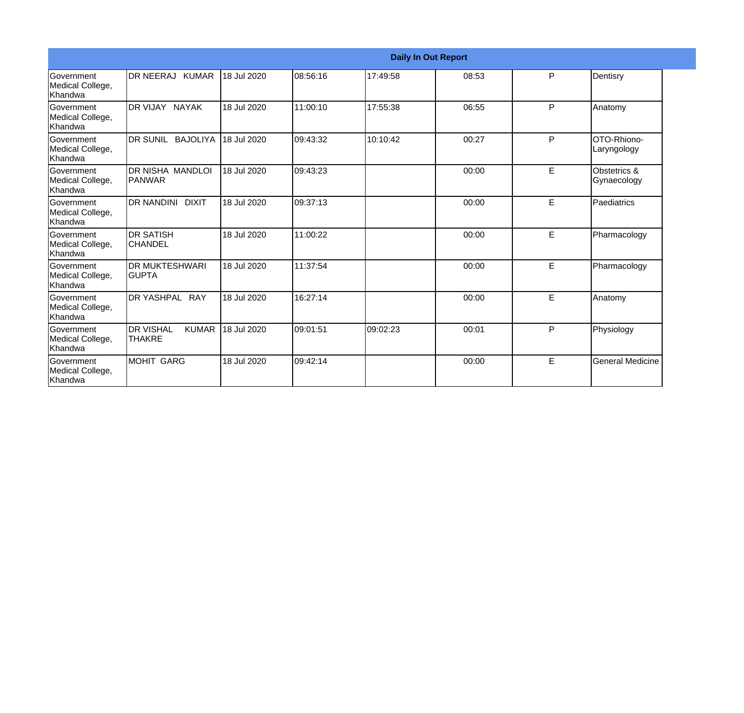|                                                         |                                                   |             |          |          | <b>Daily In Out Report</b> |   |                                   |
|---------------------------------------------------------|---------------------------------------------------|-------------|----------|----------|----------------------------|---|-----------------------------------|
| Government<br>Medical College,<br><b>Khandwa</b>        | DR NEERAJ KUMAR                                   | 18 Jul 2020 | 08:56:16 | 17:49:58 | 08:53                      | P | Dentisry                          |
| <b>Government</b><br>Medical College,<br>Khandwa        | DR VIJAY NAYAK                                    | 18 Jul 2020 | 11:00:10 | 17:55:38 | 06:55                      | P | Anatomy                           |
| Government<br>Medical College,<br>Khandwa               | DR SUNIL BAJOLIYA                                 | 18 Jul 2020 | 09:43:32 | 10:10:42 | 00:27                      | P | <b>OTO-Rhiono-</b><br>Laryngology |
| <b>Government</b><br>Medical College,<br><b>Khandwa</b> | <b>DR NISHA MANDLOI</b><br><b>PANWAR</b>          | 18 Jul 2020 | 09:43:23 |          | 00:00                      | E | Obstetrics &<br>Gynaecology       |
| <b>Government</b><br>Medical College,<br><b>Khandwa</b> | <b>DR NANDINI DIXIT</b>                           | 18 Jul 2020 | 09:37:13 |          | 00:00                      | E | Paediatrics                       |
| Government<br>Medical College,<br>Khandwa               | <b>DR SATISH</b><br><b>CHANDEL</b>                | 18 Jul 2020 | 11:00:22 |          | 00:00                      | E | Pharmacology                      |
| Government<br>Medical College,<br>Khandwa               | <b>DR MUKTESHWARI</b><br><b>GUPTA</b>             | 18 Jul 2020 | 11:37:54 |          | 00:00                      | E | Pharmacology                      |
| <b>Government</b><br>Medical College,<br>Khandwa        | DR YASHPAL RAY                                    | 18 Jul 2020 | 16:27:14 |          | 00:00                      | E | Anatomy                           |
| Government<br>Medical College,<br>Khandwa               | <b>DR VISHAL</b><br><b>KUMAR</b><br><b>THAKRE</b> | 18 Jul 2020 | 09:01:51 | 09:02:23 | 00:01                      | P | Physiology                        |
| Government<br>Medical College,<br>Khandwa               | <b>MOHIT GARG</b>                                 | 18 Jul 2020 | 09:42:14 |          | 00:00                      | E | <b>General Medicine</b>           |